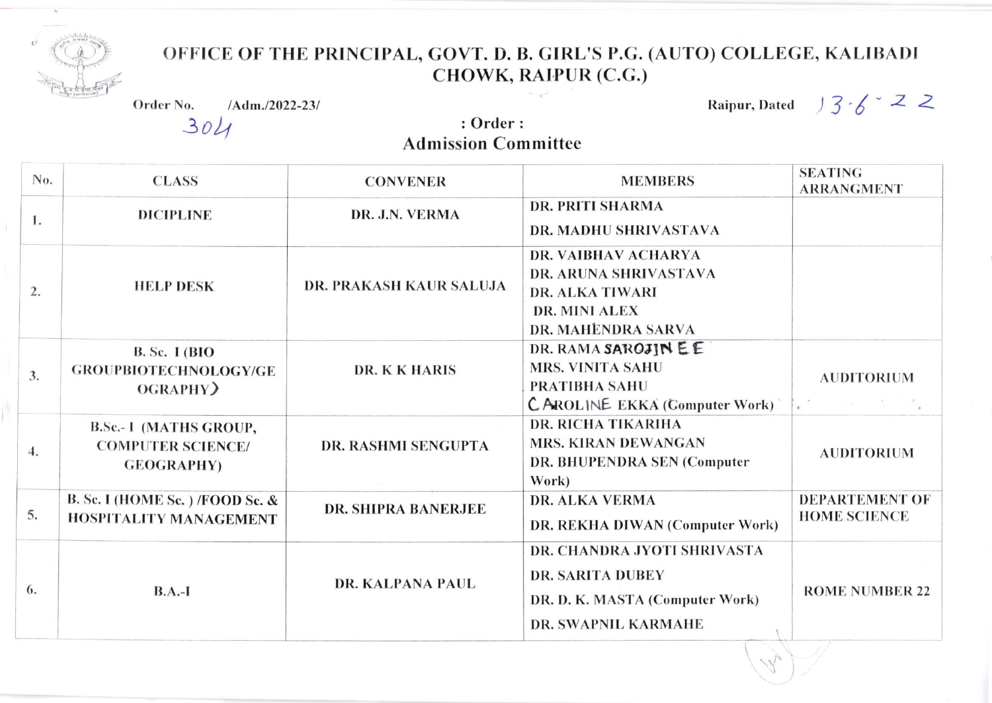

## OFFICE OF THE PRINCIPAL, GOVT. D. B. GIRL'S P.G. (AUTO) COLLEGE, KALIBADI CHOWK, RAIPUR (C.G.)

|                | Order No.<br>/Adm./2022-23/                                                     |                                        | Raipur, Dated $\frac{1}{2}$ $\frac{1}{6}$ $\leq$                                                                        |                                               |
|----------------|---------------------------------------------------------------------------------|----------------------------------------|-------------------------------------------------------------------------------------------------------------------------|-----------------------------------------------|
|                | 304                                                                             | : Order:<br><b>Admission Committee</b> |                                                                                                                         |                                               |
| No.            | <b>CLASS</b>                                                                    | <b>CONVENER</b>                        | <b>MEMBERS</b>                                                                                                          | <b>SEATING</b><br><b>ARRANGMENT</b>           |
| 1.             | <b>DICIPLINE</b>                                                                | DR. J.N. VERMA                         | <b>DR. PRITI SHARMA</b><br>DR. MADHU SHRIVASTAVA                                                                        |                                               |
| $\mathbf{2}$ . | <b>HELP DESK</b>                                                                | DR. PRAKASH KAUR SALUJA                | DR. VAIBHAV ACHARYA<br>DR. ARUNA SHRIVASTAVA<br><b>DR. ALKA TIWARI</b><br><b>DR. MINI ALEX</b><br>DR. MAHENDRA SARVA    |                                               |
| 3.             | <b>B. Sc. I (BIO</b><br><b>GROUPBIOTECHNOLOGY/GE</b><br>OGRAPHY)                | DR. K K HARIS                          | DR. RAMA SAROJIN EE<br><b>MRS. VINITA SAHU</b><br><b>PRATIBHA SAHU</b><br><b>CAROLINE EKKA (Computer Work)</b>          | <b>AUDITORIUM</b><br>Maria Service Controller |
| 4.             | <b>B.Sc.- I (MATHS GROUP,</b><br><b>COMPUTER SCIENCE/</b><br><b>GEOGRAPHY</b> ) | <b>DR. RASHMI SENGUPTA</b>             | <b>DR. RICHA TIKARIHA</b><br><b>MRS. KIRAN DEWANGAN</b><br>DR. BHUPENDRA SEN (Computer<br>Work)                         | <b>AUDITORIUM</b>                             |
| 5.             | B. Sc. I (HOME Sc.) /FOOD Sc. &<br><b>HOSPITALITY MANAGEMENT</b>                | <b>DR. SHIPRA BANERJEE</b>             | <b>DR. ALKA VERMA</b><br>DR. REKHA DIWAN (Computer Work)                                                                | <b>DEPARTEMENT OF</b><br><b>HOME SCIENCE</b>  |
| 5.             | $B.A.-I$                                                                        | DR. KALPANA PAUL                       | DR. CHANDRA JYOTI SHRIVASTA<br><b>DR. SARITA DUBEY</b><br>DR. D. K. MASTA (Computer Work)<br><b>DR. SWAPNIL KARMAHE</b> | <b>ROME NUMBER 22</b>                         |

 $\overline{ }$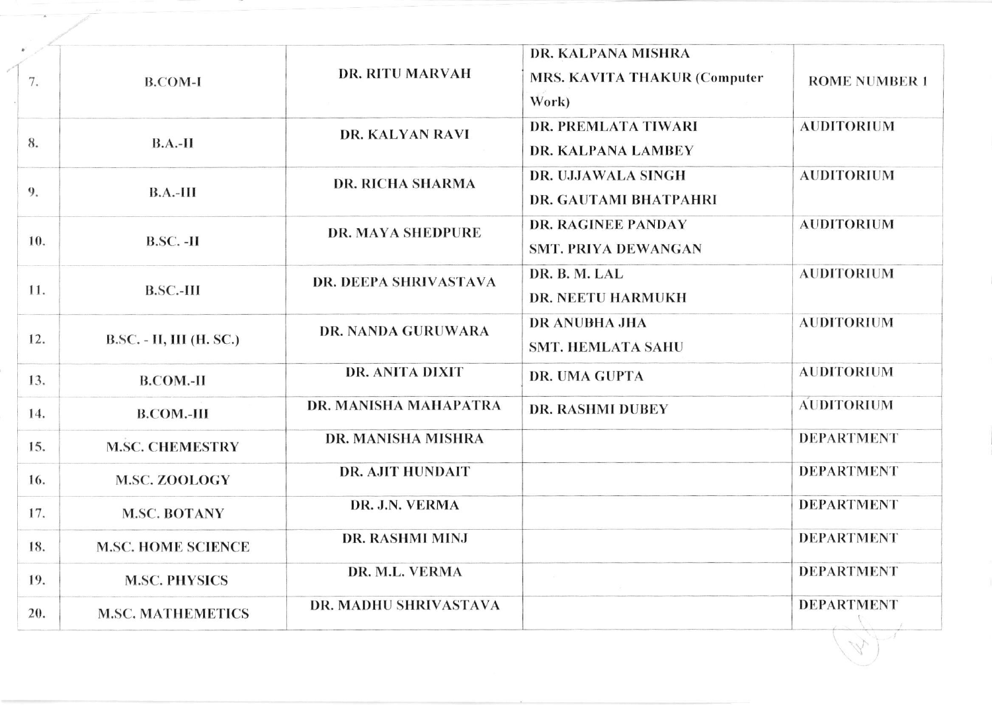|     | <b>B.COM-I</b>            | <b>DR. RITU MARVAH</b>                     | DR. KALPANA MISHRA                                      |                      |
|-----|---------------------------|--------------------------------------------|---------------------------------------------------------|----------------------|
| 7.  |                           |                                            | <b>MRS. KAVITA THAKUR (Computer</b>                     | <b>ROME NUMBER 1</b> |
|     |                           |                                            | Work)                                                   |                      |
| 8.  | $B.A.-II$                 | DR. KALYAN RAVI<br><b>DR. RICHA SHARMA</b> | <b>DR. PREMLATA TIWARI</b><br><b>DR. KALPANA LAMBEY</b> | <b>AUDITORIUM</b>    |
|     |                           |                                            | DR. UJJAWALA SINGH                                      | <b>AUDITORIUM</b>    |
| 9.  | $B.A.-III$                |                                            | DR. GAUTAMI BHATPAHRI                                   |                      |
|     | $B.SC. -H$                | <b>DR. MAYA SHEDPURE</b>                   | <b>DR. RAGINEE PANDAY</b>                               | <b>AUDITORIUM</b>    |
| 10. |                           |                                            | <b>SMT. PRIYA DEWANGAN</b>                              |                      |
|     |                           | <b>DR. DEEPA SHRIVASTAVA</b>               | DR. B. M. LAL                                           | <b>AUDITORIUM</b>    |
| 11. | $B.SC.-III$               |                                            | <b>DR. NEETU HARMUKH</b>                                |                      |
| 12. | B.SC. - II, III (H. SC.)  | <b>DR. NANDA GURUWARA</b>                  | <b>DR ANUBHA JHA</b>                                    | <b>AUDITORIUM</b>    |
|     |                           |                                            | <b>SMT. HEMLATA SAHU</b>                                |                      |
| 13. | <b>B.COM.-II</b>          | DR. ANITA DIXIT                            | DR. UMA GUPTA                                           | <b>AUDITORIUM</b>    |
| 14. | <b>B.COM.-III</b>         | DR. MANISHA MAHAPATRA                      | <b>DR. RASHMI DUBEY</b>                                 | <b>AUDITORIUM</b>    |
| 15. | <b>M.SC. CHEMESTRY</b>    | DR. MANISHA MISHRA                         |                                                         | <b>DEPARTMENT</b>    |
| 16. | <b>M.SC. ZOOLOGY</b>      | <b>DR. AJIT HUNDAIT</b>                    |                                                         | <b>DEPARTMENT</b>    |
| 17. | <b>M.SC. BOTANY</b>       | DR. J.N. VERMA                             |                                                         | <b>DEPARTMENT</b>    |
| 18. | <b>M.SC. HOME SCIENCE</b> | DR. RASHMI MINJ                            |                                                         | <b>DEPARTMENT</b>    |
| 19. | <b>M.SC. PHYSICS</b>      | DR. M.L. VERMA                             |                                                         | <b>DEPARTMENT</b>    |
| 20. | <b>M.SC. MATHEMETICS</b>  | DR. MADHU SHRIVASTAVA                      |                                                         | <b>DEPARTMENT</b>    |
|     |                           |                                            |                                                         |                      |